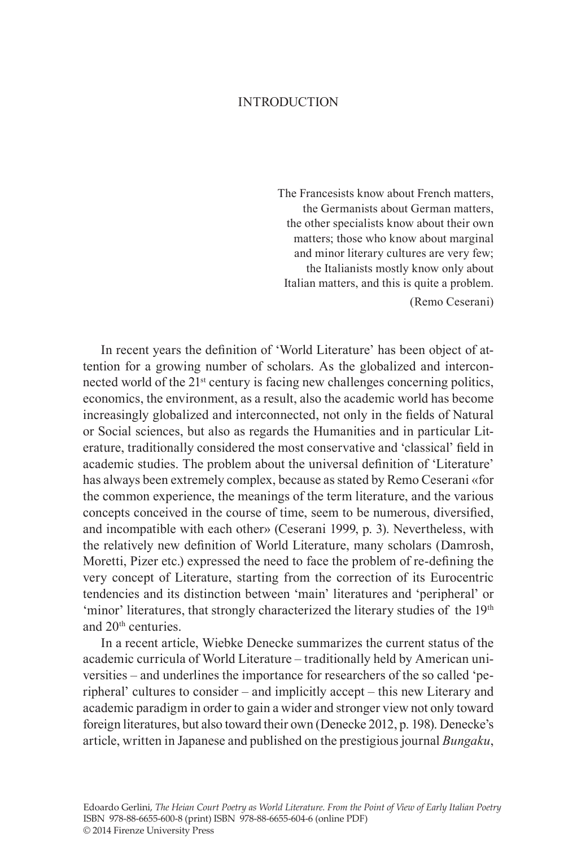# **INTRODUCTION**

The Francesists know about French matters, the Germanists about German matters, the other specialists know about their own matters; those who know about marginal and minor literary cultures are very few; the Italianists mostly know only about Italian matters, and this is quite a problem. (Remo Ceserani)

In recent years the definition of 'World Literature' has been object of attention for a growing number of scholars. As the globalized and interconnected world of the 21<sup>st</sup> century is facing new challenges concerning politics, economics, the environment, as a result, also the academic world has become increasingly globalized and interconnected, not only in the fields of Natural or Social sciences, but also as regards the Humanities and in particular Literature, traditionally considered the most conservative and 'classical' field in academic studies. The problem about the universal definition of 'Literature' has always been extremely complex, because as stated by Remo Ceserani «for the common experience, the meanings of the term literature, and the various concepts conceived in the course of time, seem to be numerous, diversified, and incompatible with each other» (Ceserani 1999, p. 3). Nevertheless, with the relatively new definition of World Literature, many scholars (Damrosh, Moretti, Pizer etc.) expressed the need to face the problem of re-defining the very concept of Literature, starting from the correction of its Eurocentric tendencies and its distinction between 'main' literatures and 'peripheral' or 'minor' literatures, that strongly characterized the literary studies of the 19<sup>th</sup> and 20th centuries.

In a recent article, Wiebke Denecke summarizes the current status of the academic curricula of World Literature – traditionally held by American universities – and underlines the importance for researchers of the so called 'peripheral' cultures to consider – and implicitly accept – this new Literary and academic paradigm in order to gain a wider and stronger view not only toward foreign literatures, but also toward their own (Denecke 2012, p. 198). Denecke's article, written in Japanese and published on the prestigious journal *Bungaku*,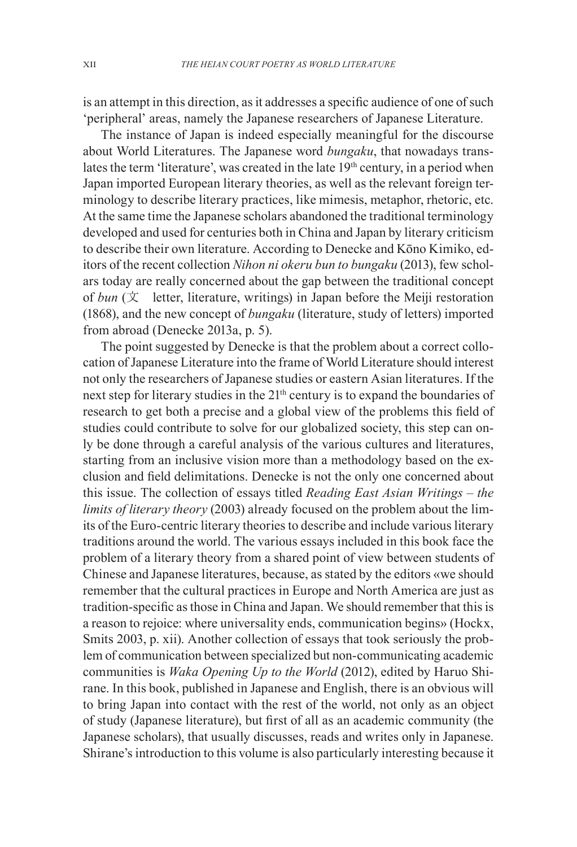is an attempt in this direction, as it addresses a specific audience of one of such 'peripheral' areas, namely the Japanese researchers of Japanese Literature.

The instance of Japan is indeed especially meaningful for the discourse about World Literatures. The Japanese word *bungaku*, that nowadays translates the term 'literature', was created in the late 19<sup>th</sup> century, in a period when Japan imported European literary theories, as well as the relevant foreign terminology to describe literary practices, like mimesis, metaphor, rhetoric, etc. At the same time the Japanese scholars abandoned the traditional terminology developed and used for centuries both in China and Japan by literary criticism to describe their own literature. According to Denecke and Kōno Kimiko, editors of the recent collection *Nihon ni okeru bun to bungaku* (2013), few scholars today are really concerned about the gap between the traditional concept of *bun*  $(X$  letter, literature, writings) in Japan before the Meiji restoration (1868), and the new concept of *bungaku* (literature, study of letters) imported from abroad (Denecke 2013a, p. 5).

The point suggested by Denecke is that the problem about a correct collocation of Japanese Literature into the frame of World Literature should interest not only the researchers of Japanese studies or eastern Asian literatures. If the next step for literary studies in the 21<sup>th</sup> century is to expand the boundaries of research to get both a precise and a global view of the problems this field of studies could contribute to solve for our globalized society, this step can only be done through a careful analysis of the various cultures and literatures, starting from an inclusive vision more than a methodology based on the exclusion and field delimitations. Denecke is not the only one concerned about this issue. The collection of essays titled *Reading East Asian Writings – the limits of literary theory* (2003) already focused on the problem about the limits of the Euro-centric literary theories to describe and include various literary traditions around the world. The various essays included in this book face the problem of a literary theory from a shared point of view between students of Chinese and Japanese literatures, because, as stated by the editors «we should remember that the cultural practices in Europe and North America are just as tradition-specific as those in China and Japan. We should remember that this is a reason to rejoice: where universality ends, communication begins» (Hockx, Smits 2003, p. xii). Another collection of essays that took seriously the problem of communication between specialized but non-communicating academic communities is *Waka Opening Up to the World* (2012), edited by Haruo Shirane. In this book, published in Japanese and English, there is an obvious will to bring Japan into contact with the rest of the world, not only as an object of study (Japanese literature), but first of all as an academic community (the Japanese scholars), that usually discusses, reads and writes only in Japanese. Shirane's introduction to this volume is also particularly interesting because it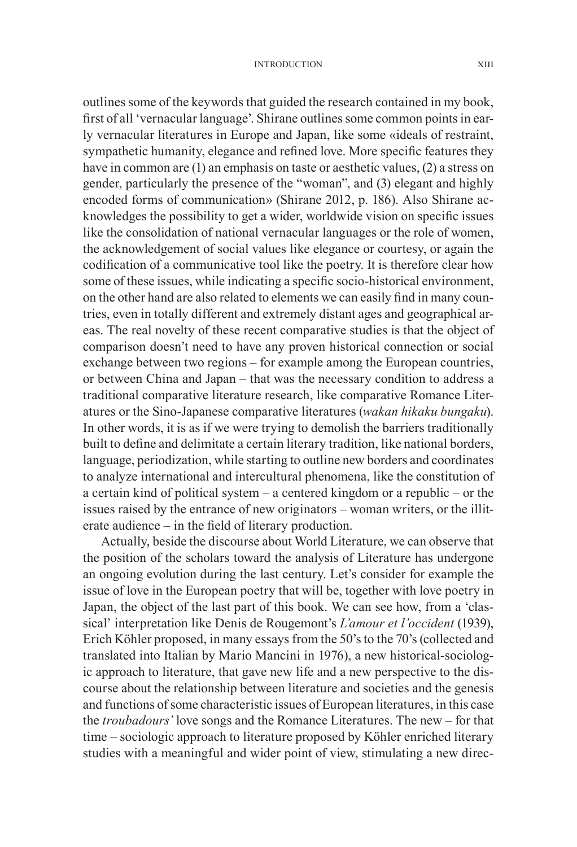outlines some of the keywords that guided the research contained in my book, first of all 'vernacular language'. Shirane outlines some common points in early vernacular literatures in Europe and Japan, like some «ideals of restraint, sympathetic humanity, elegance and refined love. More specific features they have in common are (1) an emphasis on taste or aesthetic values, (2) a stress on gender, particularly the presence of the "woman", and (3) elegant and highly encoded forms of communication» (Shirane 2012, p. 186). Also Shirane acknowledges the possibility to get a wider, worldwide vision on specific issues like the consolidation of national vernacular languages or the role of women, the acknowledgement of social values like elegance or courtesy, or again the codification of a communicative tool like the poetry. It is therefore clear how some of these issues, while indicating a specific socio-historical environment, on the other hand are also related to elements we can easily find in many countries, even in totally different and extremely distant ages and geographical areas. The real novelty of these recent comparative studies is that the object of comparison doesn't need to have any proven historical connection or social exchange between two regions – for example among the European countries, or between China and Japan – that was the necessary condition to address a traditional comparative literature research, like comparative Romance Literatures or the Sino-Japanese comparative literatures (*wakan hikaku bungaku*). In other words, it is as if we were trying to demolish the barriers traditionally built to define and delimitate a certain literary tradition, like national borders, language, periodization, while starting to outline new borders and coordinates to analyze international and intercultural phenomena, like the constitution of a certain kind of political system – a centered kingdom or a republic – or the issues raised by the entrance of new originators – woman writers, or the illiterate audience – in the field of literary production.

Actually, beside the discourse about World Literature, we can observe that the position of the scholars toward the analysis of Literature has undergone an ongoing evolution during the last century. Let's consider for example the issue of love in the European poetry that will be, together with love poetry in Japan, the object of the last part of this book. We can see how, from a 'classical' interpretation like Denis de Rougemont's *L'amour et l'occident* (1939), Erich Köhler proposed, in many essays from the 50's to the 70's (collected and translated into Italian by Mario Mancini in 1976), a new historical-sociologic approach to literature, that gave new life and a new perspective to the discourse about the relationship between literature and societies and the genesis and functions of some characteristic issues of European literatures, in this case the *troubadours'* love songs and the Romance Literatures. The new – for that time – sociologic approach to literature proposed by Köhler enriched literary studies with a meaningful and wider point of view, stimulating a new direc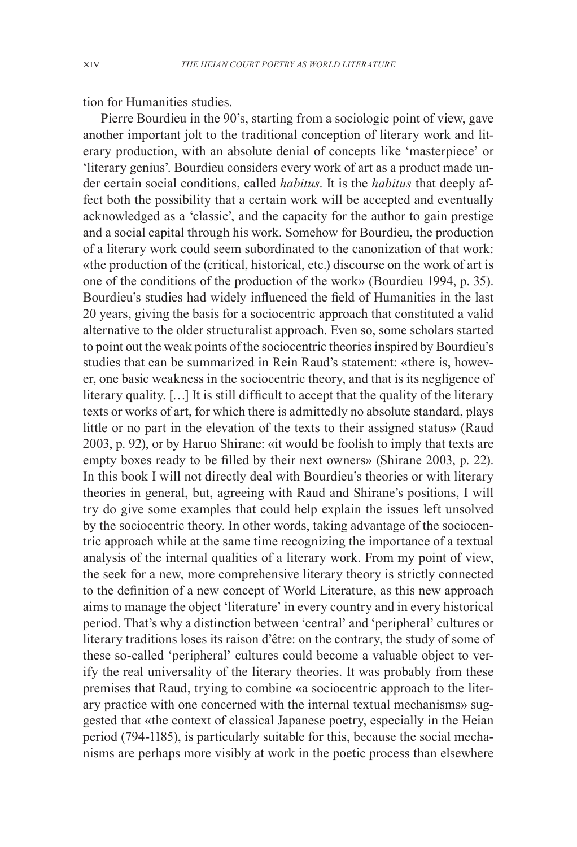tion for Humanities studies.

Pierre Bourdieu in the 90's, starting from a sociologic point of view, gave another important jolt to the traditional conception of literary work and literary production, with an absolute denial of concepts like 'masterpiece' or 'literary genius'. Bourdieu considers every work of art as a product made under certain social conditions, called *habitus*. It is the *habitus* that deeply affect both the possibility that a certain work will be accepted and eventually acknowledged as a 'classic', and the capacity for the author to gain prestige and a social capital through his work. Somehow for Bourdieu, the production of a literary work could seem subordinated to the canonization of that work: «the production of the (critical, historical, etc.) discourse on the work of art is one of the conditions of the production of the work» (Bourdieu 1994, p. 35). Bourdieu's studies had widely influenced the field of Humanities in the last 20 years, giving the basis for a sociocentric approach that constituted a valid alternative to the older structuralist approach. Even so, some scholars started to point out the weak points of the sociocentric theories inspired by Bourdieu's studies that can be summarized in Rein Raud's statement: «there is, however, one basic weakness in the sociocentric theory, and that is its negligence of literary quality. […] It is still difficult to accept that the quality of the literary texts or works of art, for which there is admittedly no absolute standard, plays little or no part in the elevation of the texts to their assigned status» (Raud 2003, p. 92), or by Haruo Shirane: «it would be foolish to imply that texts are empty boxes ready to be filled by their next owners» (Shirane 2003, p. 22). In this book I will not directly deal with Bourdieu's theories or with literary theories in general, but, agreeing with Raud and Shirane's positions, I will try do give some examples that could help explain the issues left unsolved by the sociocentric theory. In other words, taking advantage of the sociocentric approach while at the same time recognizing the importance of a textual analysis of the internal qualities of a literary work. From my point of view, the seek for a new, more comprehensive literary theory is strictly connected to the definition of a new concept of World Literature, as this new approach aims to manage the object 'literature' in every country and in every historical period. That's why a distinction between 'central' and 'peripheral' cultures or literary traditions loses its raison d'être: on the contrary, the study of some of these so-called 'peripheral' cultures could become a valuable object to verify the real universality of the literary theories. It was probably from these premises that Raud, trying to combine «a sociocentric approach to the literary practice with one concerned with the internal textual mechanisms» suggested that «the context of classical Japanese poetry, especially in the Heian period (794-1185), is particularly suitable for this, because the social mechanisms are perhaps more visibly at work in the poetic process than elsewhere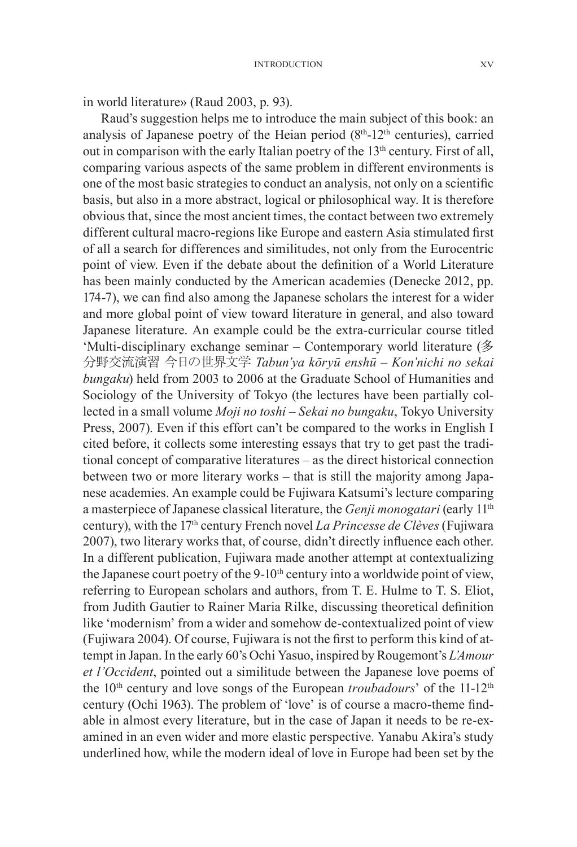in world literature» (Raud 2003, p. 93).

Raud's suggestion helps me to introduce the main subject of this book: an analysis of Japanese poetry of the Heian period  $(8<sup>th</sup>-12<sup>th</sup>$  centuries), carried out in comparison with the early Italian poetry of the  $13<sup>th</sup>$  century. First of all, comparing various aspects of the same problem in different environments is one of the most basic strategies to conduct an analysis, not only on a scientific basis, but also in a more abstract, logical or philosophical way. It is therefore obvious that, since the most ancient times, the contact between two extremely different cultural macro-regions like Europe and eastern Asia stimulated first of all a search for differences and similitudes, not only from the Eurocentric point of view. Even if the debate about the definition of a World Literature has been mainly conducted by the American academies (Denecke 2012, pp. 174-7), we can find also among the Japanese scholars the interest for a wider and more global point of view toward literature in general, and also toward Japanese literature. An example could be the extra-curricular course titled 'Multi-disciplinary exchange seminar – Contemporary world literature (多 分野交流演習 今日の世界文学 *Tabun'ya kōryū enshū – Kon'nichi no sekai bungaku*) held from 2003 to 2006 at the Graduate School of Humanities and Sociology of the University of Tokyo (the lectures have been partially collected in a small volume *Moji no toshi* – *Sekai no bungaku*, Tokyo University Press, 2007). Even if this effort can't be compared to the works in English I cited before, it collects some interesting essays that try to get past the traditional concept of comparative literatures – as the direct historical connection between two or more literary works – that is still the majority among Japanese academies. An example could be Fujiwara Katsumi's lecture comparing a masterpiece of Japanese classical literature, the *Genji monogatari* (early 11th century), with the 17th century French novel *La Princesse de Clèves* (Fujiwara 2007), two literary works that, of course, didn't directly influence each other. In a different publication, Fujiwara made another attempt at contextualizing the Japanese court poetry of the 9-10<sup>th</sup> century into a worldwide point of view, referring to European scholars and authors, from T. E. Hulme to T. S. Eliot, from Judith Gautier to Rainer Maria Rilke, discussing theoretical definition like 'modernism' from a wider and somehow de-contextualized point of view (Fujiwara 2004). Of course, Fujiwara is not the first to perform this kind of attempt in Japan. In the early 60's Ochi Yasuo, inspired by Rougemont's *L'Amour et l'Occident*, pointed out a similitude between the Japanese love poems of the 10<sup>th</sup> century and love songs of the European *troubadours*' of the 11-12<sup>th</sup> century (Ochi 1963). The problem of 'love' is of course a macro-theme findable in almost every literature, but in the case of Japan it needs to be re-examined in an even wider and more elastic perspective. Yanabu Akira's study underlined how, while the modern ideal of love in Europe had been set by the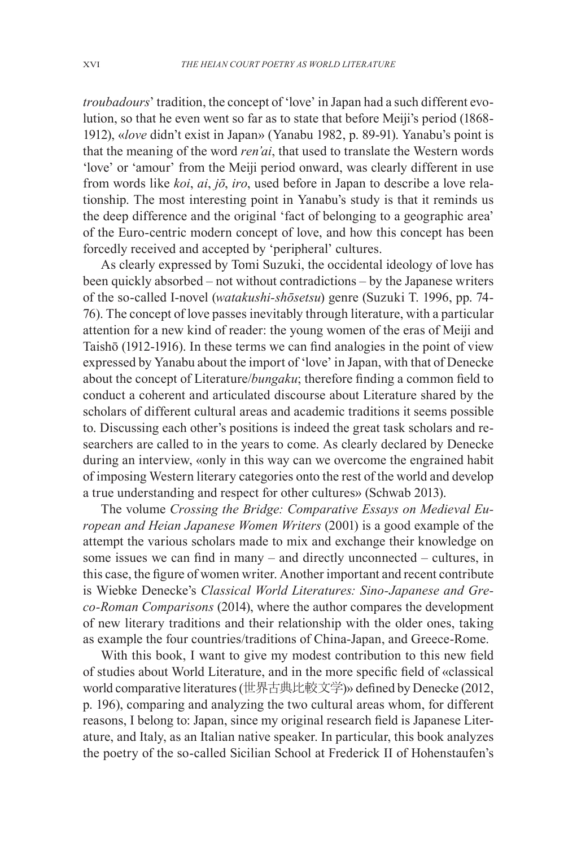*troubadours*' tradition, the concept of 'love' in Japan had a such different evolution, so that he even went so far as to state that before Meiji's period (1868- 1912), «*love* didn't exist in Japan» (Yanabu 1982, p. 89-91). Yanabu's point is that the meaning of the word *ren'ai*, that used to translate the Western words 'love' or 'amour' from the Meiji period onward, was clearly different in use from words like *koi*, *ai*, *jō*, *iro*, used before in Japan to describe a love relationship. The most interesting point in Yanabu's study is that it reminds us the deep difference and the original 'fact of belonging to a geographic area' of the Euro-centric modern concept of love, and how this concept has been forcedly received and accepted by 'peripheral' cultures.

As clearly expressed by Tomi Suzuki, the occidental ideology of love has been quickly absorbed – not without contradictions – by the Japanese writers of the so-called I-novel (*watakushi-shōsetsu*) genre (Suzuki T. 1996, pp. 74- 76). The concept of love passes inevitably through literature, with a particular attention for a new kind of reader: the young women of the eras of Meiji and Taishō (1912-1916). In these terms we can find analogies in the point of view expressed by Yanabu about the import of 'love' in Japan, with that of Denecke about the concept of Literature/*bungaku*; therefore finding a common field to conduct a coherent and articulated discourse about Literature shared by the scholars of different cultural areas and academic traditions it seems possible to. Discussing each other's positions is indeed the great task scholars and researchers are called to in the years to come. As clearly declared by Denecke during an interview, «only in this way can we overcome the engrained habit of imposing Western literary categories onto the rest of the world and develop a true understanding and respect for other cultures» (Schwab 2013).

The volume *Crossing the Bridge: Comparative Essays on Medieval European and Heian Japanese Women Writers* (2001) is a good example of the attempt the various scholars made to mix and exchange their knowledge on some issues we can find in many – and directly unconnected – cultures, in this case, the figure of women writer. Another important and recent contribute is Wiebke Denecke's *Classical World Literatures: Sino-Japanese and Greco-Roman Comparisons* (2014), where the author compares the development of new literary traditions and their relationship with the older ones, taking as example the four countries/traditions of China-Japan, and Greece-Rome.

With this book, I want to give my modest contribution to this new field of studies about World Literature, and in the more specific field of «classical world comparative literatures (世界古典比較文学)» defined by Denecke (2012, p. 196), comparing and analyzing the two cultural areas whom, for different reasons, I belong to: Japan, since my original research field is Japanese Literature, and Italy, as an Italian native speaker. In particular, this book analyzes the poetry of the so-called Sicilian School at Frederick II of Hohenstaufen's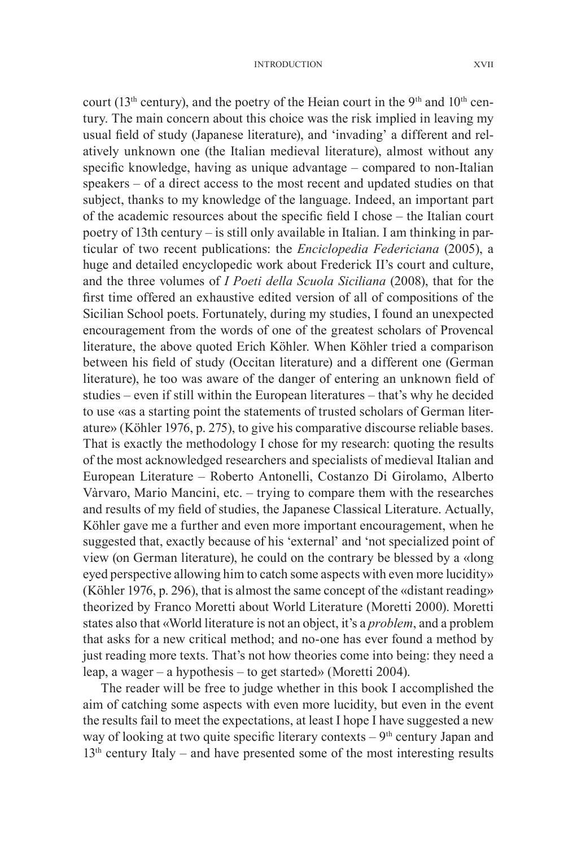#### Introduction XVII

court (13<sup>th</sup> century), and the poetry of the Heian court in the 9<sup>th</sup> and 10<sup>th</sup> century. The main concern about this choice was the risk implied in leaving my usual field of study (Japanese literature), and 'invading' a different and relatively unknown one (the Italian medieval literature), almost without any specific knowledge, having as unique advantage – compared to non-Italian speakers – of a direct access to the most recent and updated studies on that subject, thanks to my knowledge of the language. Indeed, an important part of the academic resources about the specific field I chose – the Italian court poetry of 13th century – is still only available in Italian. I am thinking in particular of two recent publications: the *Enciclopedia Federiciana* (2005), a huge and detailed encyclopedic work about Frederick II's court and culture, and the three volumes of *I Poeti della Scuola Siciliana* (2008), that for the first time offered an exhaustive edited version of all of compositions of the Sicilian School poets. Fortunately, during my studies, I found an unexpected encouragement from the words of one of the greatest scholars of Provencal literature, the above quoted Erich Köhler. When Köhler tried a comparison between his field of study (Occitan literature) and a different one (German literature), he too was aware of the danger of entering an unknown field of studies – even if still within the European literatures – that's why he decided to use «as a starting point the statements of trusted scholars of German literature» (Köhler 1976, p. 275), to give his comparative discourse reliable bases. That is exactly the methodology I chose for my research: quoting the results of the most acknowledged researchers and specialists of medieval Italian and European Literature – Roberto Antonelli, Costanzo Di Girolamo, Alberto Vàrvaro, Mario Mancini, etc. – trying to compare them with the researches and results of my field of studies, the Japanese Classical Literature. Actually, Köhler gave me a further and even more important encouragement, when he suggested that, exactly because of his 'external' and 'not specialized point of view (on German literature), he could on the contrary be blessed by a «long eyed perspective allowing him to catch some aspects with even more lucidity» (Köhler 1976, p. 296), that is almost the same concept of the «distant reading» theorized by Franco Moretti about World Literature (Moretti 2000). Moretti states also that «World literature is not an object, it's a *problem*, and a problem that asks for a new critical method; and no-one has ever found a method by just reading more texts. That's not how theories come into being: they need a leap, a wager – a hypothesis – to get started» (Moretti 2004).

The reader will be free to judge whether in this book I accomplished the aim of catching some aspects with even more lucidity, but even in the event the results fail to meet the expectations, at least I hope I have suggested a new way of looking at two quite specific literary contexts  $-9<sup>th</sup>$  century Japan and  $13<sup>th</sup>$  century Italy – and have presented some of the most interesting results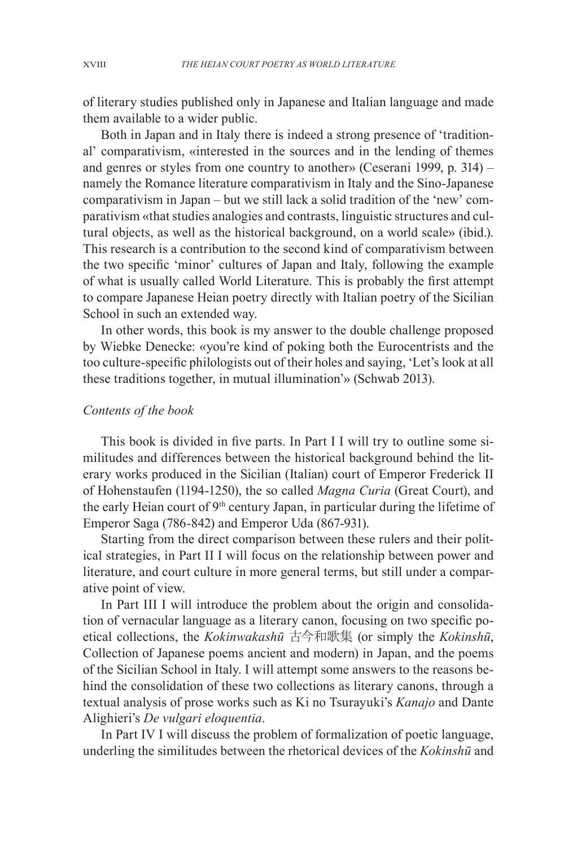of literary studies published only in Japanese and Italian language and made them available to a wider public.

Both in Japan and in Italy there is indeed a strong presence of 'traditional' comparativism, «interested in the sources and in the lending of themes and genres or styles from one country to another» (Ceserani 1999, p. 314) – namely the Romance literature comparativism in Italy and the Sino-Japanese comparativism in Japan – but we still lack a solid tradition of the 'new' comparativism «that studies analogies and contrasts, linguistic structures and cultural objects, as well as the historical background, on a world scale» (ibid.). This research is a contribution to the second kind of comparativism between the two specific 'minor' cultures of Japan and Italy, following the example of what is usually called World Literature. This is probably the first attempt to compare Japanese Heian poetry directly with Italian poetry of the Sicilian School in such an extended way.

In other words, this book is my answer to the double challenge proposed by Wiebke Denecke: «you're kind of poking both the Eurocentrists and the too culture-specific philologists out of their holes and saying, 'Let's look at all these traditions together, in mutual illumination'» (Schwab 2013).

### *Contents of the book*

This book is divided in five parts. In Part I I will try to outline some similitudes and differences between the historical background behind the literary works produced in the Sicilian (Italian) court of Emperor Frederick II of Hohenstaufen (1194-1250), the so called *Magna Curia* (Great Court), and the early Heian court of  $9<sup>th</sup>$  century Japan, in particular during the lifetime of Emperor Saga (786-842) and Emperor Uda (867-931).

Starting from the direct comparison between these rulers and their political strategies, in Part II I will focus on the relationship between power and literature, and court culture in more general terms, but still under a comparative point of view.

In Part III I will introduce the problem about the origin and consolidation of vernacular language as a literary canon, focusing on two specific poetical collections, the *Kokinwakashū* 古今和歌集 (or simply the *Kokinshū*, Collection of Japanese poems ancient and modern) in Japan, and the poems of the Sicilian School in Italy. I will attempt some answers to the reasons behind the consolidation of these two collections as literary canons, through a textual analysis of prose works such as Ki no Tsurayuki's *Kanajo* and Dante Alighieri's *De vulgari eloquentia*.

In Part IV I will discuss the problem of formalization of poetic language, underling the similitudes between the rhetorical devices of the *Kokinshū* and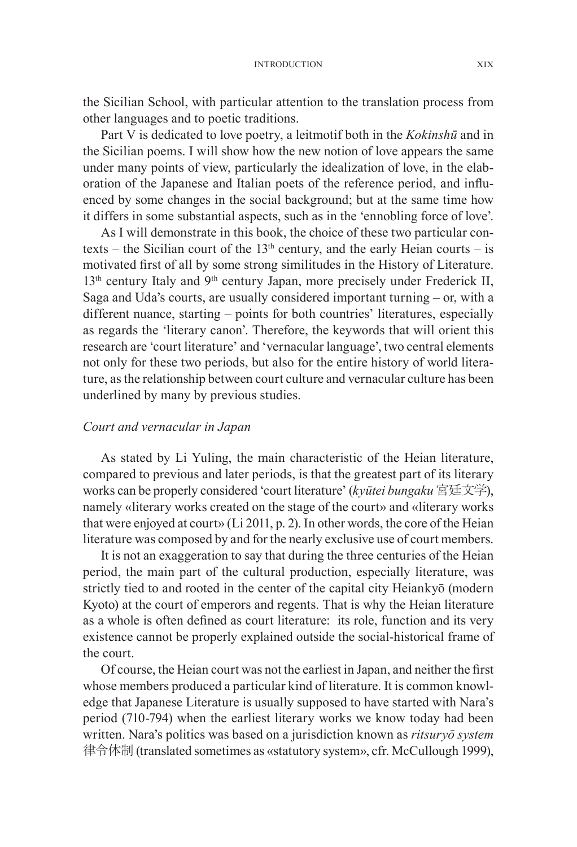the Sicilian School, with particular attention to the translation process from other languages and to poetic traditions.

Part V is dedicated to love poetry, a leitmotif both in the *Kokinshū* and in the Sicilian poems. I will show how the new notion of love appears the same under many points of view, particularly the idealization of love, in the elaboration of the Japanese and Italian poets of the reference period, and influenced by some changes in the social background; but at the same time how it differs in some substantial aspects, such as in the 'ennobling force of love'.

As I will demonstrate in this book, the choice of these two particular contexts – the Sicilian court of the  $13<sup>th</sup>$  century, and the early Heian courts – is motivated first of all by some strong similitudes in the History of Literature. 13<sup>th</sup> century Italy and 9<sup>th</sup> century Japan, more precisely under Frederick II, Saga and Uda's courts, are usually considered important turning – or, with a different nuance, starting – points for both countries' literatures, especially as regards the 'literary canon'. Therefore, the keywords that will orient this research are 'court literature' and 'vernacular language', two central elements not only for these two periods, but also for the entire history of world literature, as the relationship between court culture and vernacular culture has been underlined by many by previous studies.

## *Court and vernacular in Japan*

As stated by Li Yuling, the main characteristic of the Heian literature, compared to previous and later periods, is that the greatest part of its literary works can be properly considered 'court literature' (*kyūtei bungaku* 宮廷文学), namely «literary works created on the stage of the court» and «literary works that were enjoyed at court» (Li 2011, p. 2). In other words, the core of the Heian literature was composed by and for the nearly exclusive use of court members.

It is not an exaggeration to say that during the three centuries of the Heian period, the main part of the cultural production, especially literature, was strictly tied to and rooted in the center of the capital city Heiankyō (modern Kyoto) at the court of emperors and regents. That is why the Heian literature as a whole is often defined as court literature: its role, function and its very existence cannot be properly explained outside the social-historical frame of the court.

Of course, the Heian court was not the earliest in Japan, and neither the first whose members produced a particular kind of literature. It is common knowledge that Japanese Literature is usually supposed to have started with Nara's period (710-794) when the earliest literary works we know today had been written. Nara's politics was based on a jurisdiction known as *ritsuryō system*  律令体制 (translated sometimes as «statutory system», cfr. McCullough 1999),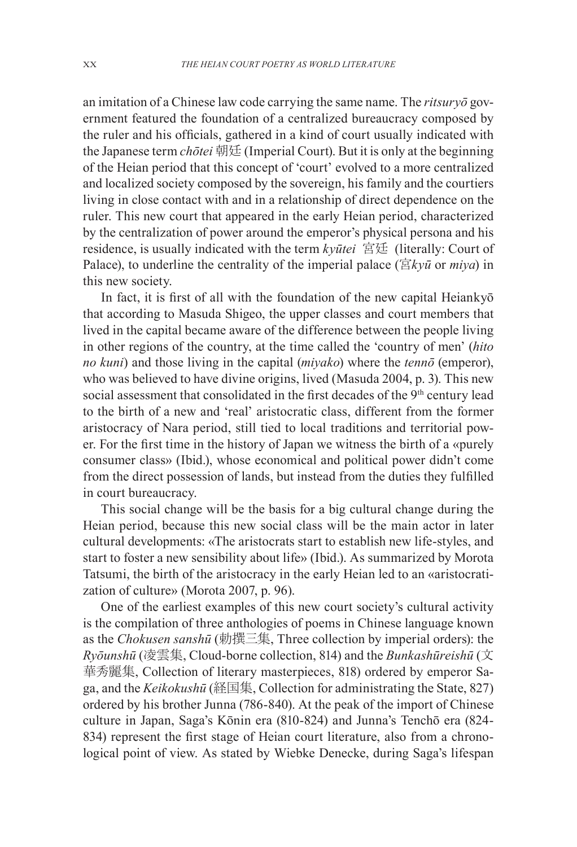an imitation of a Chinese law code carrying the same name. The *ritsuryō* government featured the foundation of a centralized bureaucracy composed by the ruler and his officials, gathered in a kind of court usually indicated with the Japanese term *chōtei* 朝廷 (Imperial Court). But it is only at the beginning of the Heian period that this concept of 'court' evolved to a more centralized and localized society composed by the sovereign, his family and the courtiers living in close contact with and in a relationship of direct dependence on the ruler. This new court that appeared in the early Heian period, characterized by the centralization of power around the emperor's physical persona and his residence, is usually indicated with the term *kyūtei* 宮廷 (literally: Court of Palace), to underline the centrality of the imperial palace (宮*kyū* or  $miya$ ) in this new society.

In fact, it is first of all with the foundation of the new capital Heiankyō that according to Masuda Shigeo, the upper classes and court members that lived in the capital became aware of the difference between the people living in other regions of the country, at the time called the 'country of men' (*hito no kuni*) and those living in the capital (*miyako*) where the *tennō* (emperor), who was believed to have divine origins, lived (Masuda 2004, p. 3). This new social assessment that consolidated in the first decades of the 9<sup>th</sup> century lead to the birth of a new and 'real' aristocratic class, different from the former aristocracy of Nara period, still tied to local traditions and territorial power. For the first time in the history of Japan we witness the birth of a «purely consumer class» (Ibid.), whose economical and political power didn't come from the direct possession of lands, but instead from the duties they fulfilled in court bureaucracy.

This social change will be the basis for a big cultural change during the Heian period, because this new social class will be the main actor in later cultural developments: «The aristocrats start to establish new life-styles, and start to foster a new sensibility about life» (Ibid.). As summarized by Morota Tatsumi, the birth of the aristocracy in the early Heian led to an «aristocratization of culture» (Morota 2007, p. 96).

One of the earliest examples of this new court society's cultural activity is the compilation of three anthologies of poems in Chinese language known as the *Chokusen sanshū* (勅撰三集, Three collection by imperial orders): the *Ryōunshū* (凌雲集, Cloud-borne collection, 814) and the *Bunkashūreishū* (文 華秀麗集, Collection of literary masterpieces, 818) ordered by emperor Saga, and the *Keikokushū* (経国集, Collection for administrating the State, 827) ordered by his brother Junna (786-840). At the peak of the import of Chinese culture in Japan, Saga's Kōnin era (810-824) and Junna's Tenchō era (824- 834) represent the first stage of Heian court literature, also from a chronological point of view. As stated by Wiebke Denecke, during Saga's lifespan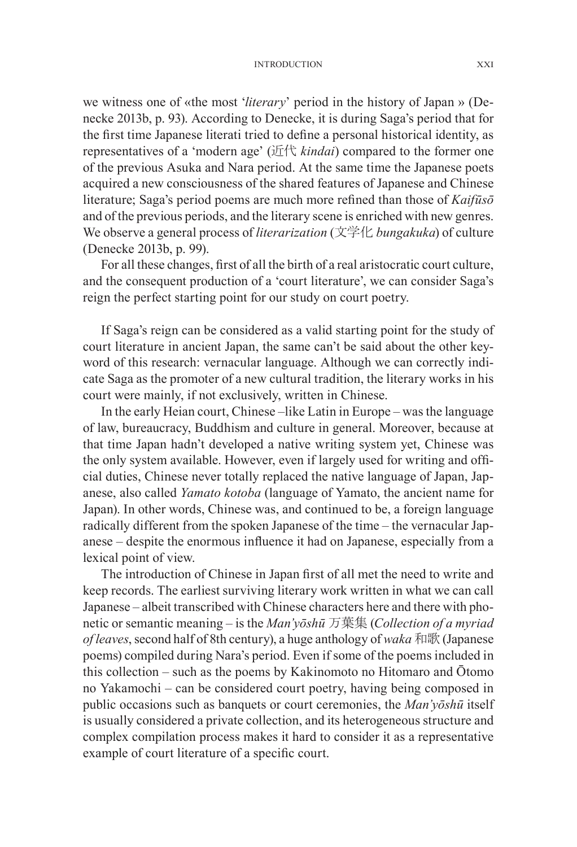#### Introduction XXI

we witness one of «the most '*literary*' period in the history of Japan » (Denecke 2013b, p. 93). According to Denecke, it is during Saga's period that for the first time Japanese literati tried to define a personal historical identity, as representatives of a 'modern age' (近代 *kindai*) compared to the former one of the previous Asuka and Nara period. At the same time the Japanese poets acquired a new consciousness of the shared features of Japanese and Chinese literature; Saga's period poems are much more refined than those of *Kaifūsō*  and of the previous periods, and the literary scene is enriched with new genres. We observe a general process of *literarization* (文学化 *bungakuka*) of culture (Denecke 2013b, p. 99).

For all these changes, first of all the birth of a real aristocratic court culture, and the consequent production of a 'court literature', we can consider Saga's reign the perfect starting point for our study on court poetry.

If Saga's reign can be considered as a valid starting point for the study of court literature in ancient Japan, the same can't be said about the other keyword of this research: vernacular language. Although we can correctly indicate Saga as the promoter of a new cultural tradition, the literary works in his court were mainly, if not exclusively, written in Chinese.

In the early Heian court, Chinese –like Latin in Europe – was the language of law, bureaucracy, Buddhism and culture in general. Moreover, because at that time Japan hadn't developed a native writing system yet, Chinese was the only system available. However, even if largely used for writing and official duties, Chinese never totally replaced the native language of Japan, Japanese, also called *Yamato kotoba* (language of Yamato, the ancient name for Japan). In other words, Chinese was, and continued to be, a foreign language radically different from the spoken Japanese of the time – the vernacular Japanese – despite the enormous influence it had on Japanese, especially from a lexical point of view.

The introduction of Chinese in Japan first of all met the need to write and keep records. The earliest surviving literary work written in what we can call Japanese – albeit transcribed with Chinese characters here and there with phonetic or semantic meaning – is the *Man'yōshū* 万葉集 (*Collection of a myriad of leaves*, second half of 8th century), a huge anthology of *waka* 和歌 (Japanese poems) compiled during Nara's period. Even if some of the poems included in this collection – such as the poems by Kakinomoto no Hitomaro and Ōtomo no Yakamochi – can be considered court poetry, having being composed in public occasions such as banquets or court ceremonies, the *Man'yōshū* itself is usually considered a private collection, and its heterogeneous structure and complex compilation process makes it hard to consider it as a representative example of court literature of a specific court.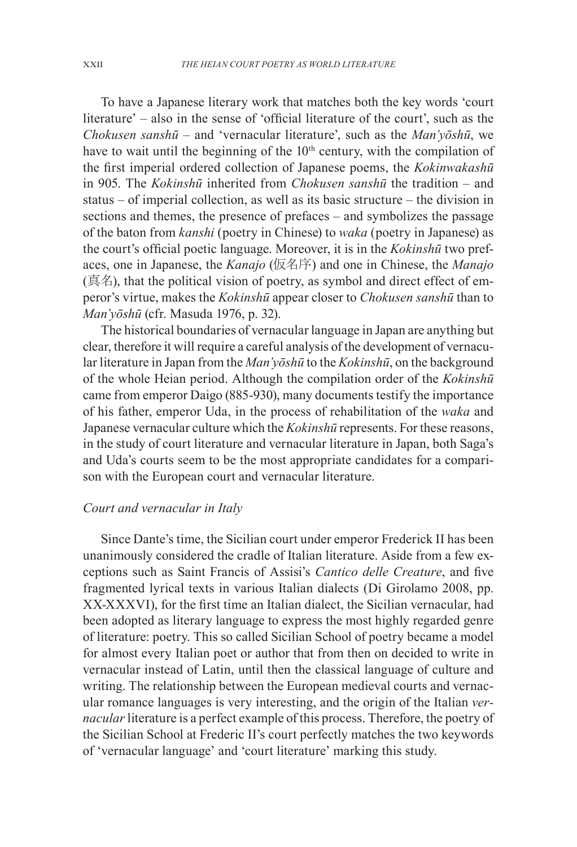To have a Japanese literary work that matches both the key words 'court literature' – also in the sense of 'official literature of the court', such as the *Chokusen sanshū* – and 'vernacular literature', such as the *Man'yōshū*, we have to wait until the beginning of the  $10<sup>th</sup>$  century, with the compilation of the first imperial ordered collection of Japanese poems, the *Kokinwakashū*  in 905. The *Kokinshū* inherited from *Chokusen sanshū* the tradition – and status – of imperial collection, as well as its basic structure – the division in sections and themes, the presence of prefaces – and symbolizes the passage of the baton from *kanshi* (poetry in Chinese) to *waka* (poetry in Japanese) as the court's official poetic language. Moreover, it is in the *Kokinshū* two prefaces, one in Japanese, the *Kanajo* (仮名序) and one in Chinese, the *Manajo* (真名), that the political vision of poetry, as symbol and direct effect of emperor's virtue, makes the *Kokinshū* appear closer to *Chokusen sanshū* than to *Man'yōshū* (cfr. Masuda 1976, p. 32).

The historical boundaries of vernacular language in Japan are anything but clear, therefore it will require a careful analysis of the development of vernacular literature in Japan from the *Man'yōshū* to the *Kokinshū*, on the background of the whole Heian period. Although the compilation order of the *Kokinshū*  came from emperor Daigo (885-930), many documents testify the importance of his father, emperor Uda, in the process of rehabilitation of the *waka* and Japanese vernacular culture which the *Kokinshū* represents. For these reasons, in the study of court literature and vernacular literature in Japan, both Saga's and Uda's courts seem to be the most appropriate candidates for a comparison with the European court and vernacular literature.

# *Court and vernacular in Italy*

Since Dante's time, the Sicilian court under emperor Frederick II has been unanimously considered the cradle of Italian literature. Aside from a few exceptions such as Saint Francis of Assisi's *Cantico delle Creature*, and five fragmented lyrical texts in various Italian dialects (Di Girolamo 2008, pp. XX-XXXVI), for the first time an Italian dialect, the Sicilian vernacular, had been adopted as literary language to express the most highly regarded genre of literature: poetry. This so called Sicilian School of poetry became a model for almost every Italian poet or author that from then on decided to write in vernacular instead of Latin, until then the classical language of culture and writing. The relationship between the European medieval courts and vernacular romance languages is very interesting, and the origin of the Italian *vernacular* literature is a perfect example of this process. Therefore, the poetry of the Sicilian School at Frederic II's court perfectly matches the two keywords of 'vernacular language' and 'court literature' marking this study.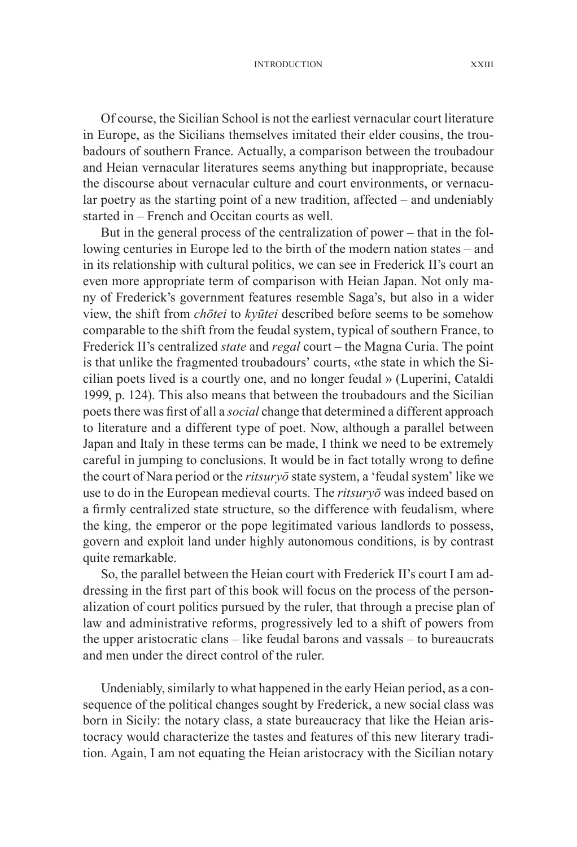Introduction XXIII

Of course, the Sicilian School is not the earliest vernacular court literature in Europe, as the Sicilians themselves imitated their elder cousins, the troubadours of southern France. Actually, a comparison between the troubadour and Heian vernacular literatures seems anything but inappropriate, because the discourse about vernacular culture and court environments, or vernacular poetry as the starting point of a new tradition, affected – and undeniably started in – French and Occitan courts as well.

But in the general process of the centralization of power – that in the following centuries in Europe led to the birth of the modern nation states – and in its relationship with cultural politics, we can see in Frederick II's court an even more appropriate term of comparison with Heian Japan. Not only many of Frederick's government features resemble Saga's, but also in a wider view, the shift from *chōtei* to *kyūtei* described before seems to be somehow comparable to the shift from the feudal system, typical of southern France, to Frederick II's centralized *state* and *regal* court – the Magna Curia. The point is that unlike the fragmented troubadours' courts, «the state in which the Sicilian poets lived is a courtly one, and no longer feudal » (Luperini, Cataldi 1999, p. 124). This also means that between the troubadours and the Sicilian poets there was first of all a *social* change that determined a different approach to literature and a different type of poet. Now, although a parallel between Japan and Italy in these terms can be made, I think we need to be extremely careful in jumping to conclusions. It would be in fact totally wrong to define the court of Nara period or the *ritsuryō* state system, a 'feudal system' like we use to do in the European medieval courts. The *ritsuryō* was indeed based on a firmly centralized state structure, so the difference with feudalism, where the king, the emperor or the pope legitimated various landlords to possess, govern and exploit land under highly autonomous conditions, is by contrast quite remarkable.

So, the parallel between the Heian court with Frederick II's court I am addressing in the first part of this book will focus on the process of the personalization of court politics pursued by the ruler, that through a precise plan of law and administrative reforms, progressively led to a shift of powers from the upper aristocratic clans – like feudal barons and vassals – to bureaucrats and men under the direct control of the ruler.

Undeniably, similarly to what happened in the early Heian period, as a consequence of the political changes sought by Frederick, a new social class was born in Sicily: the notary class, a state bureaucracy that like the Heian aristocracy would characterize the tastes and features of this new literary tradition. Again, I am not equating the Heian aristocracy with the Sicilian notary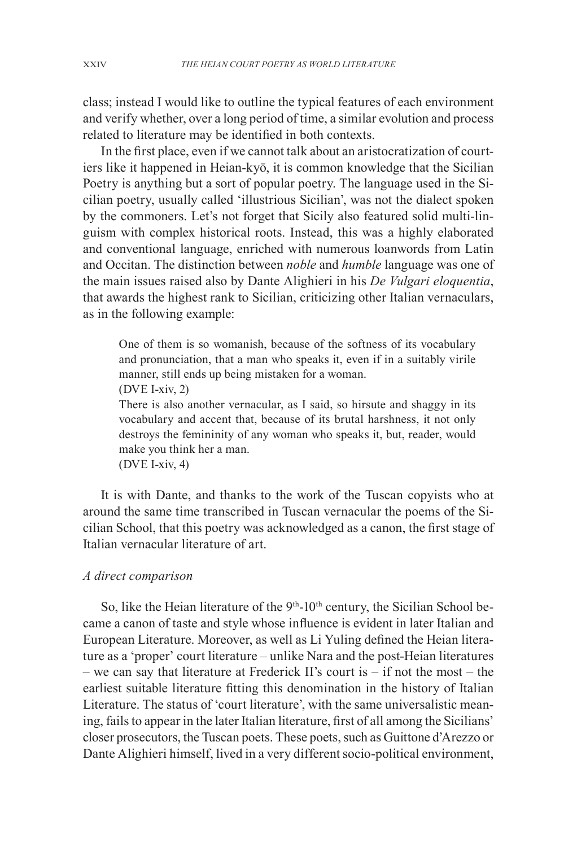class; instead I would like to outline the typical features of each environment and verify whether, over a long period of time, a similar evolution and process related to literature may be identified in both contexts.

In the first place, even if we cannot talk about an aristocratization of courtiers like it happened in Heian-kyō, it is common knowledge that the Sicilian Poetry is anything but a sort of popular poetry. The language used in the Sicilian poetry, usually called 'illustrious Sicilian', was not the dialect spoken by the commoners. Let's not forget that Sicily also featured solid multi-linguism with complex historical roots. Instead, this was a highly elaborated and conventional language, enriched with numerous loanwords from Latin and Occitan. The distinction between *noble* and *humble* language was one of the main issues raised also by Dante Alighieri in his *De Vulgari eloquentia*, that awards the highest rank to Sicilian, criticizing other Italian vernaculars, as in the following example:

One of them is so womanish, because of the softness of its vocabulary and pronunciation, that a man who speaks it, even if in a suitably virile manner, still ends up being mistaken for a woman.

(DVE I-xiv, 2)

There is also another vernacular, as I said, so hirsute and shaggy in its vocabulary and accent that, because of its brutal harshness, it not only destroys the femininity of any woman who speaks it, but, reader, would make you think her a man.

(DVE I-xiv, 4)

It is with Dante, and thanks to the work of the Tuscan copyists who at around the same time transcribed in Tuscan vernacular the poems of the Sicilian School, that this poetry was acknowledged as a canon, the first stage of Italian vernacular literature of art.

### *A direct comparison*

So, like the Heian literature of the  $9<sup>th</sup>$ -10<sup>th</sup> century, the Sicilian School became a canon of taste and style whose influence is evident in later Italian and European Literature. Moreover, as well as Li Yuling defined the Heian literature as a 'proper' court literature – unlike Nara and the post-Heian literatures – we can say that literature at Frederick II's court is – if not the most – the earliest suitable literature fitting this denomination in the history of Italian Literature. The status of 'court literature', with the same universalistic meaning, fails to appear in the later Italian literature, first of all among the Sicilians' closer prosecutors, the Tuscan poets. These poets, such as Guittone d'Arezzo or Dante Alighieri himself, lived in a very different socio-political environment,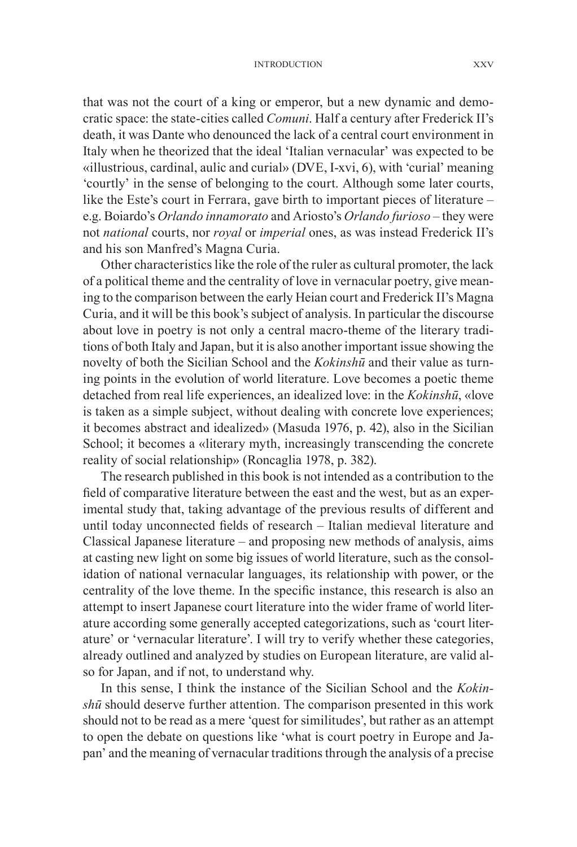#### Introduction XXV

that was not the court of a king or emperor, but a new dynamic and democratic space: the state-cities called *Comuni*. Half a century after Frederick II's death, it was Dante who denounced the lack of a central court environment in Italy when he theorized that the ideal 'Italian vernacular' was expected to be «illustrious, cardinal, aulic and curial» (DVE, I-xvi, 6), with 'curial' meaning 'courtly' in the sense of belonging to the court. Although some later courts, like the Este's court in Ferrara, gave birth to important pieces of literature – e.g. Boiardo's *Orlando innamorato* and Ariosto's *Orlando furioso* – they were not *national* courts, nor *royal* or *imperial* ones, as was instead Frederick II's and his son Manfred's Magna Curia.

Other characteristics like the role of the ruler as cultural promoter, the lack of a political theme and the centrality of love in vernacular poetry, give meaning to the comparison between the early Heian court and Frederick II's Magna Curia, and it will be this book's subject of analysis. In particular the discourse about love in poetry is not only a central macro-theme of the literary traditions of both Italy and Japan, but it is also another important issue showing the novelty of both the Sicilian School and the *Kokinshū* and their value as turning points in the evolution of world literature. Love becomes a poetic theme detached from real life experiences, an idealized love: in the *Kokinshū*, «love is taken as a simple subject, without dealing with concrete love experiences; it becomes abstract and idealized» (Masuda 1976, p. 42), also in the Sicilian School; it becomes a «literary myth, increasingly transcending the concrete reality of social relationship» (Roncaglia 1978, p. 382).

The research published in this book is not intended as a contribution to the field of comparative literature between the east and the west, but as an experimental study that, taking advantage of the previous results of different and until today unconnected fields of research – Italian medieval literature and Classical Japanese literature – and proposing new methods of analysis, aims at casting new light on some big issues of world literature, such as the consolidation of national vernacular languages, its relationship with power, or the centrality of the love theme. In the specific instance, this research is also an attempt to insert Japanese court literature into the wider frame of world literature according some generally accepted categorizations, such as 'court literature' or 'vernacular literature'. I will try to verify whether these categories, already outlined and analyzed by studies on European literature, are valid also for Japan, and if not, to understand why.

In this sense, I think the instance of the Sicilian School and the *Kokinshū* should deserve further attention. The comparison presented in this work should not to be read as a mere 'quest for similitudes', but rather as an attempt to open the debate on questions like 'what is court poetry in Europe and Japan' and the meaning of vernacular traditions through the analysis of a precise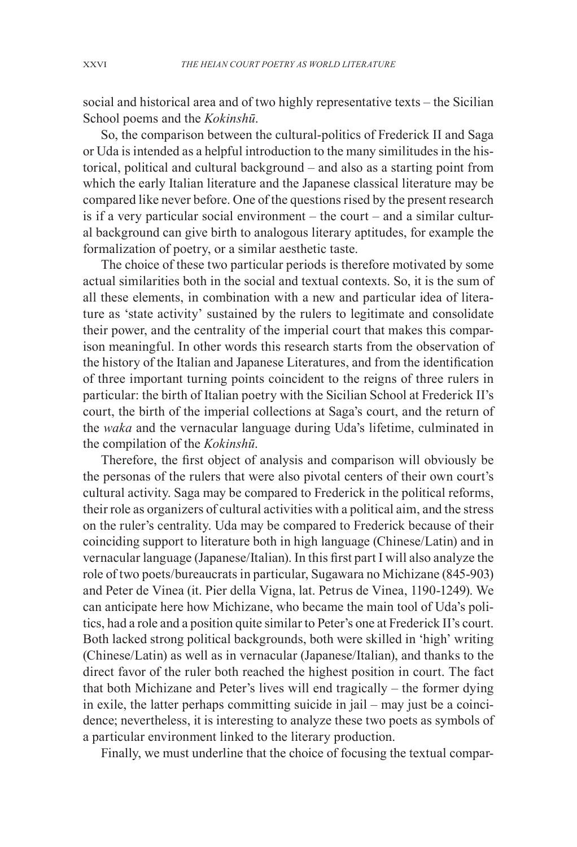social and historical area and of two highly representative texts – the Sicilian School poems and the *Kokinshū*.

So, the comparison between the cultural-politics of Frederick II and Saga or Uda is intended as a helpful introduction to the many similitudes in the historical, political and cultural background – and also as a starting point from which the early Italian literature and the Japanese classical literature may be compared like never before. One of the questions rised by the present research is if a very particular social environment – the court – and a similar cultural background can give birth to analogous literary aptitudes, for example the formalization of poetry, or a similar aesthetic taste.

The choice of these two particular periods is therefore motivated by some actual similarities both in the social and textual contexts. So, it is the sum of all these elements, in combination with a new and particular idea of literature as 'state activity' sustained by the rulers to legitimate and consolidate their power, and the centrality of the imperial court that makes this comparison meaningful. In other words this research starts from the observation of the history of the Italian and Japanese Literatures, and from the identification of three important turning points coincident to the reigns of three rulers in particular: the birth of Italian poetry with the Sicilian School at Frederick II's court, the birth of the imperial collections at Saga's court, and the return of the *waka* and the vernacular language during Uda's lifetime, culminated in the compilation of the *Kokinshū*.

Therefore, the first object of analysis and comparison will obviously be the personas of the rulers that were also pivotal centers of their own court's cultural activity. Saga may be compared to Frederick in the political reforms, their role as organizers of cultural activities with a political aim, and the stress on the ruler's centrality. Uda may be compared to Frederick because of their coinciding support to literature both in high language (Chinese/Latin) and in vernacular language (Japanese/Italian). In this first part I will also analyze the role of two poets/bureaucrats in particular, Sugawara no Michizane (845-903) and Peter de Vinea (it. Pier della Vigna, lat. Petrus de Vinea, 1190-1249). We can anticipate here how Michizane, who became the main tool of Uda's politics, had a role and a position quite similar to Peter's one at Frederick II's court. Both lacked strong political backgrounds, both were skilled in 'high' writing (Chinese/Latin) as well as in vernacular (Japanese/Italian), and thanks to the direct favor of the ruler both reached the highest position in court. The fact that both Michizane and Peter's lives will end tragically – the former dying in exile, the latter perhaps committing suicide in jail – may just be a coincidence; nevertheless, it is interesting to analyze these two poets as symbols of a particular environment linked to the literary production.

Finally, we must underline that the choice of focusing the textual compar-